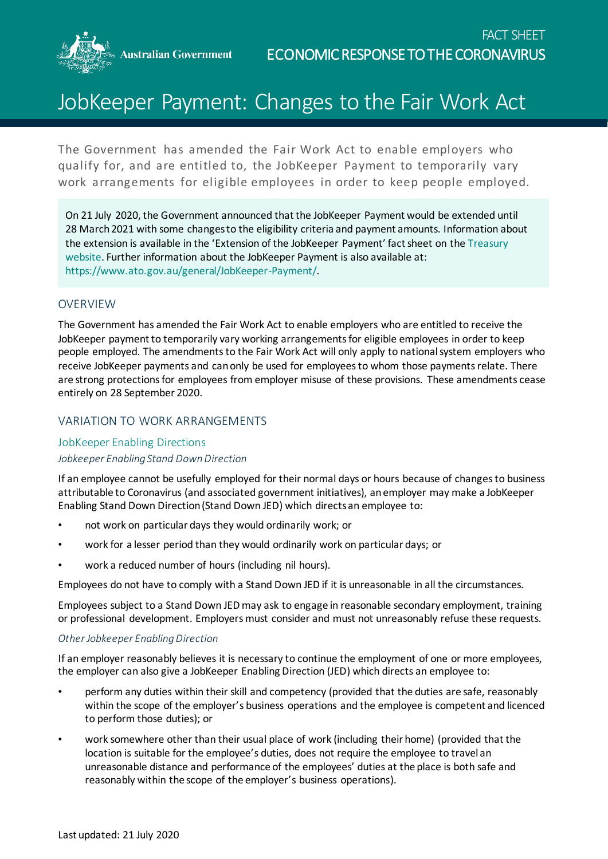**Australian Government** 



# JobKeeper Payment: Changes to the Fair Work Act

The Government has amended the Fair Work Act to enable employers who qualify for, and are entitled to, the JobKeeper Payment to temporarily vary work arrangements for eligible employees in order to keep people employed.

On 21 July 2020, the Government announced that the JobKeeper Payment would be extended until 28 March 2021 with some changes to the eligibility criteria and payment amounts. Information about the extension is available in the 'Extension of the JobKeeper Payment' fact sheet on th[e Treasury](https://treasury.gov.au/coronavirus/jobkeeper/extension)  [website.](https://treasury.gov.au/coronavirus/jobkeeper/extension) Further information about the JobKeeper Payment is also available at: [https://www.ato.gov.au/general/JobKeeper-Payment/.](https://www.ato.gov.au/general/JobKeeper-Payment/)

# OVERVIEW

The Government has amended the Fair Work Act to enable employers who are entitled to receive the JobKeeper payment to temporarily vary working arrangements for eligible employees in order to keep people employed. The amendments to the Fair Work Act will only apply to national system employers who receive JobKeeper payments and can only be used for employees to whom those payments relate. There are strong protections for employees from employer misuse of these provisions. These amendments cease entirely on 28 September 2020.

# VARIATION TO WORK ARRANGEMENTS

# JobKeeper Enabling Directions

# *Jobkeeper Enabling Stand Down Direction*

If an employee cannot be usefully employed for their normal days or hours because of changes to business attributable to Coronavirus (and associated government initiatives), an employer may make a JobKeeper Enabling Stand Down Direction (Stand Down JED) which directs an employee to:

- not work on particular days they would ordinarily work; or
- work for a lesser period than they would ordinarily work on particular days; or
- work a reduced number of hours (including nil hours).

Employees do not have to comply with a Stand Down JED if it is unreasonable in all the circumstances.

Employees subject to a Stand Down JED may ask to engage in reasonable secondary employment, training or professional development. Employers must consider and must not unreasonably refuse these requests.

# *Other Jobkeeper Enabling Direction*

If an employer reasonably believes it is necessary to continue the employment of one or more employees, the employer can also give a JobKeeper Enabling Direction (JED) which directs an employee to:

- perform any duties within their skill and competency (provided that the duties are safe, reasonably within the scope of the employer's business operations and the employee is competent and licenced to perform those duties); or
- work somewhere other than their usual place of work (including their home) (provided that the location is suitable for the employee's duties, does not require the employee to travel an unreasonable distance and performance of the employees' duties at the place is both safe and reasonably within the scope of the employer's business operations).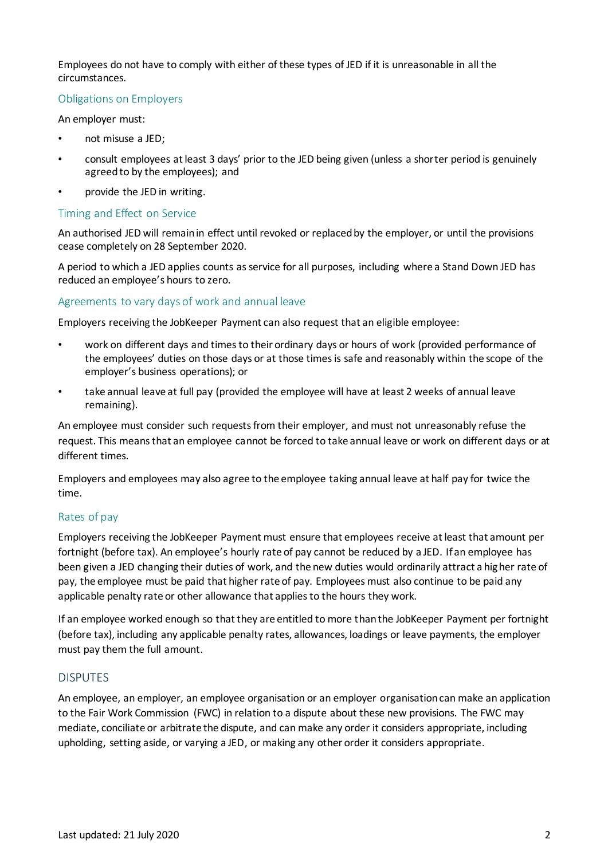Employees do not have to comply with either of these types of JED if it is unreasonable in all the circumstances.

# Obligations on Employers

An employer must:

- not misuse a JED;
- consult employees at least 3 days' prior to the JED being given (unless a shorter period is genuinely agreed to by the employees); and
- provide the JED in writing.

#### Timing and Effect on Service

An authorised JED will remain in effect until revoked or replaced by the employer, or until the provisions cease completely on 28 September 2020.

A period to which a JED applies counts as service for all purposes, including where a Stand Down JED has reduced an employee's hours to zero.

#### Agreements to vary days of work and annual leave

Employers receiving the JobKeeper Payment can also request that an eligible employee:

- work on different days and times to their ordinary days or hours of work (provided performance of the employees' duties on those days or at those times is safe and reasonably within the scope of the employer's business operations); or
- take annual leave at full pay (provided the employee will have at least 2 weeks of annual leave remaining).

An employee must consider such requests from their employer, and must not unreasonably refuse the request. This means that an employee cannot be forced to take annual leave or work on different days or at different times.

Employers and employees may also agree to the employee taking annual leave at half pay for twice the time.

# Rates of pay

Employers receiving the JobKeeper Payment must ensure that employees receive at least that amount per fortnight (before tax). An employee's hourly rate of pay cannot be reduced by a JED. If an employee has been given a JED changing their duties of work, and the new duties would ordinarily attract a higher rate of pay, the employee must be paid that higher rate of pay. Employees must also continue to be paid any applicable penalty rate or other allowance that applies to the hours they work.

If an employee worked enough so that they are entitled to more than the JobKeeper Payment per fortnight (before tax), including any applicable penalty rates, allowances, loadings or leave payments, the employer must pay them the full amount.

# DISPUTES

An employee, an employer, an employee organisation or an employer organisation can make an application to the Fair Work Commission (FWC) in relation to a dispute about these new provisions. The FWC may mediate, conciliate or arbitrate the dispute, and can make any order it considers appropriate, including upholding, setting aside, or varying a JED, or making any other order it considers appropriate.